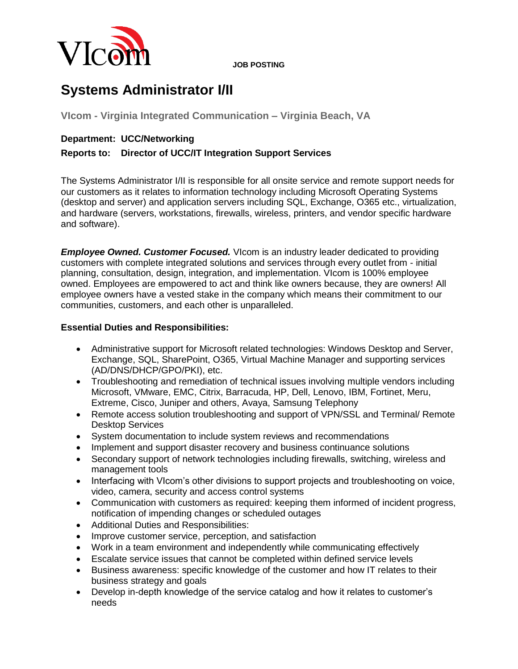

**JOB POSTING**

# **Systems Administrator I/II**

**VIcom - Virginia Integrated Communication – Virginia Beach, VA**

### **Department: UCC/Networking**

## **Reports to: Director of UCC/IT Integration Support Services**

The Systems Administrator I/II is responsible for all onsite service and remote support needs for our customers as it relates to information technology including Microsoft Operating Systems (desktop and server) and application servers including SQL, Exchange, O365 etc., virtualization, and hardware (servers, workstations, firewalls, wireless, printers, and vendor specific hardware and software).

**Employee Owned. Customer Focused.** VIcom is an industry leader dedicated to providing customers with complete integrated solutions and services through every outlet from - initial planning, consultation, design, integration, and implementation. VIcom is 100% employee owned. Employees are empowered to act and think like owners because, they are owners! All employee owners have a vested stake in the company which means their commitment to our communities, customers, and each other is unparalleled.

#### **Essential Duties and Responsibilities:**

- Administrative support for Microsoft related technologies: Windows Desktop and Server, Exchange, SQL, SharePoint, O365, Virtual Machine Manager and supporting services (AD/DNS/DHCP/GPO/PKI), etc.
- Troubleshooting and remediation of technical issues involving multiple vendors including Microsoft, VMware, EMC, Citrix, Barracuda, HP, Dell, Lenovo, IBM, Fortinet, Meru, Extreme, Cisco, Juniper and others, Avaya, Samsung Telephony
- Remote access solution troubleshooting and support of VPN/SSL and Terminal/ Remote Desktop Services
- System documentation to include system reviews and recommendations
- Implement and support disaster recovery and business continuance solutions
- Secondary support of network technologies including firewalls, switching, wireless and management tools
- Interfacing with VIcom's other divisions to support projects and troubleshooting on voice, video, camera, security and access control systems
- Communication with customers as required: keeping them informed of incident progress, notification of impending changes or scheduled outages
- Additional Duties and Responsibilities:
- Improve customer service, perception, and satisfaction
- Work in a team environment and independently while communicating effectively
- Escalate service issues that cannot be completed within defined service levels
- Business awareness: specific knowledge of the customer and how IT relates to their business strategy and goals
- Develop in-depth knowledge of the service catalog and how it relates to customer's needs